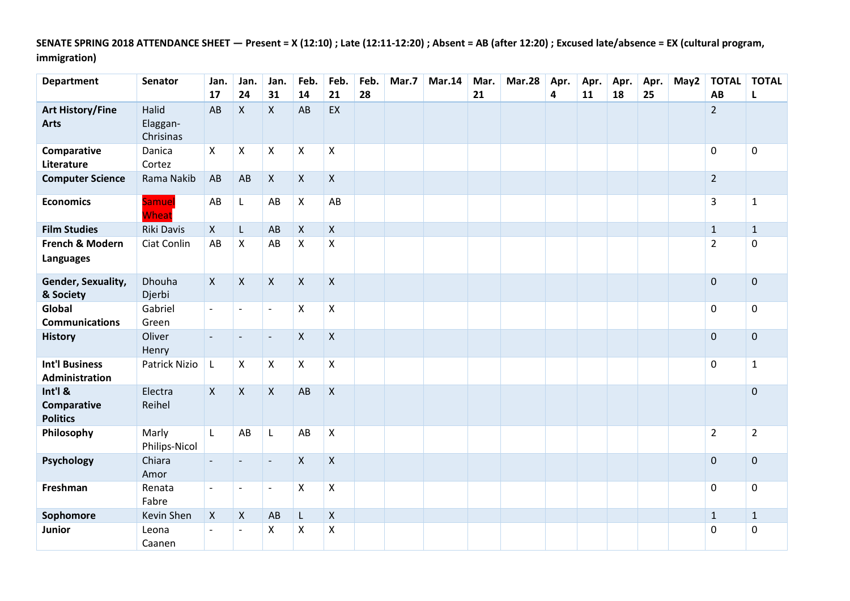**SENATE SPRING 2018 ATTENDANCE SHEET — Present = X (12:10) ; Late (12:11-12:20) ; Absent = AB (after 12:20) ; Excused late/absence = EX (cultural program, immigration)**

| <b>Department</b>                         | <b>Senator</b>                 | Jan.<br>17                | Jan.<br>24                | Jan.<br>31               | Feb.<br>14                | Feb.<br>21         | Feb.<br>28 | Mar.7 | <b>Mar.14</b> | Mar.<br>21 | <b>Mar.28</b> | Apr.<br>4 | Apr.<br>11 | Apr.<br>18 | Apr.<br>25 | May2 | <b>TOTAL</b><br>AB | <b>TOTAL</b><br>L |
|-------------------------------------------|--------------------------------|---------------------------|---------------------------|--------------------------|---------------------------|--------------------|------------|-------|---------------|------------|---------------|-----------|------------|------------|------------|------|--------------------|-------------------|
| <b>Art History/Fine</b><br><b>Arts</b>    | Halid<br>Elaggan-<br>Chrisinas | AB                        | $\mathsf{X}$              | $\mathsf{X}$             | AB                        | EX                 |            |       |               |            |               |           |            |            |            |      | $\overline{2}$     |                   |
| Comparative<br>Literature                 | Danica<br>Cortez               | X                         | $\mathsf{X}$              | $\mathsf X$              | $\pmb{\times}$            | $\mathsf{X}$       |            |       |               |            |               |           |            |            |            |      | $\mathsf{O}$       | $\mathsf 0$       |
| <b>Computer Science</b>                   | Rama Nakib                     | AB                        | AB                        | $\mathsf{X}$             | $\mathsf{X}$              | $\pmb{\times}$     |            |       |               |            |               |           |            |            |            |      | $2^{\circ}$        |                   |
| <b>Economics</b>                          | <b>Samuel</b><br>Wheat         | AB                        | L                         | AB                       | X                         | AB                 |            |       |               |            |               |           |            |            |            |      | 3                  | $\mathbf{1}$      |
| <b>Film Studies</b>                       | Riki Davis                     | $\mathsf{X}$              | L                         | AB                       | $\mathsf{X}$              | $\mathsf{X}$       |            |       |               |            |               |           |            |            |            |      | $\mathbf{1}$       | $\mathbf{1}$      |
| French & Modern<br>Languages              | Ciat Conlin                    | AB                        | $\boldsymbol{\mathsf{X}}$ | AB                       | $\boldsymbol{\mathsf{X}}$ | $\pmb{\mathsf{X}}$ |            |       |               |            |               |           |            |            |            |      | $\overline{2}$     | 0                 |
| Gender, Sexuality,<br>& Society           | Dhouha<br>Djerbi               | $\mathsf{X}$              | $\mathsf{X}$              | $\mathsf{X}$             | $\mathsf{X}$              | $\mathsf{X}$       |            |       |               |            |               |           |            |            |            |      | $\mathbf{0}$       | $\mathbf 0$       |
| Global<br><b>Communications</b>           | Gabriel<br>Green               | $\overline{\phantom{a}}$  | $\overline{\phantom{a}}$  | $\overline{\phantom{a}}$ | X                         | $\pmb{\times}$     |            |       |               |            |               |           |            |            |            |      | $\mathbf 0$        | $\mathsf 0$       |
| <b>History</b>                            | Oliver<br>Henry                | $\blacksquare$            | $\blacksquare$            | $\overline{\phantom{a}}$ | $\mathsf{X}$              | $\mathsf{X}$       |            |       |               |            |               |           |            |            |            |      | $\mathbf{0}$       | $\mathbf 0$       |
| <b>Int'l Business</b><br>Administration   | Patrick Nizio                  | L                         | $\mathsf{X}$              | $\mathsf{X}$             | X                         | $\mathsf{X}$       |            |       |               |            |               |           |            |            |            |      | $\mathbf 0$        | $\mathbf{1}$      |
| Int'l &<br>Comparative<br><b>Politics</b> | Electra<br>Reihel              | $\mathsf{X}$              | $\mathsf{X}$              | $\mathsf{X}$             | AB                        | $\mathsf{X}$       |            |       |               |            |               |           |            |            |            |      |                    | $\mathbf 0$       |
| Philosophy                                | Marly<br>Philips-Nicol         | L                         | $\mathsf{A}\mathsf{B}$    | L                        | AB                        | $\pmb{\times}$     |            |       |               |            |               |           |            |            |            |      | $\overline{2}$     | $\overline{2}$    |
| Psychology                                | Chiara<br>Amor                 |                           | $\overline{\phantom{a}}$  | $\overline{\phantom{a}}$ | $\mathsf{X}$              | $\mathsf{X}$       |            |       |               |            |               |           |            |            |            |      | $\mathbf 0$        | $\mathbf 0$       |
| Freshman                                  | Renata<br>Fabre                | $\blacksquare$            | $\overline{\phantom{a}}$  | $\overline{\phantom{a}}$ | X                         | $\pmb{\times}$     |            |       |               |            |               |           |            |            |            |      | $\mathbf 0$        | $\mathbf 0$       |
| Sophomore                                 | Kevin Shen                     | $\boldsymbol{\mathsf{X}}$ | $\mathsf{X}$              | AB                       | L                         | $\mathsf{X}$       |            |       |               |            |               |           |            |            |            |      | $\mathbf{1}$       | $\mathbf{1}$      |
| Junior                                    | Leona<br>Caanen                | $\overline{\phantom{a}}$  | $\overline{\phantom{a}}$  | Χ                        | $\pmb{\mathsf{X}}$        | $\pmb{\mathsf{X}}$ |            |       |               |            |               |           |            |            |            |      | 0                  | $\pmb{0}$         |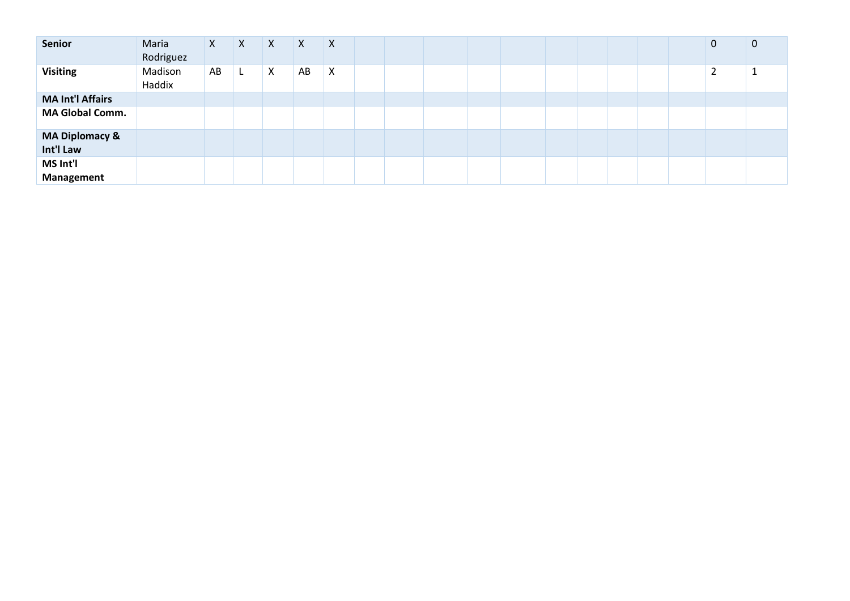| Senior                    | Maria<br>Rodriguez | $\mathsf{X}$ | X | X | X  | X |  |  |  |  |  | 0 | $\mathbf{0}$ |
|---------------------------|--------------------|--------------|---|---|----|---|--|--|--|--|--|---|--------------|
| <b>Visiting</b>           | Madison<br>Haddix  | AB           |   | X | AB | X |  |  |  |  |  |   |              |
| <b>MA Int'l Affairs</b>   |                    |              |   |   |    |   |  |  |  |  |  |   |              |
| <b>MA Global Comm.</b>    |                    |              |   |   |    |   |  |  |  |  |  |   |              |
| <b>MA Diplomacy &amp;</b> |                    |              |   |   |    |   |  |  |  |  |  |   |              |
| Int'l Law                 |                    |              |   |   |    |   |  |  |  |  |  |   |              |
| MS Int'l                  |                    |              |   |   |    |   |  |  |  |  |  |   |              |
| Management                |                    |              |   |   |    |   |  |  |  |  |  |   |              |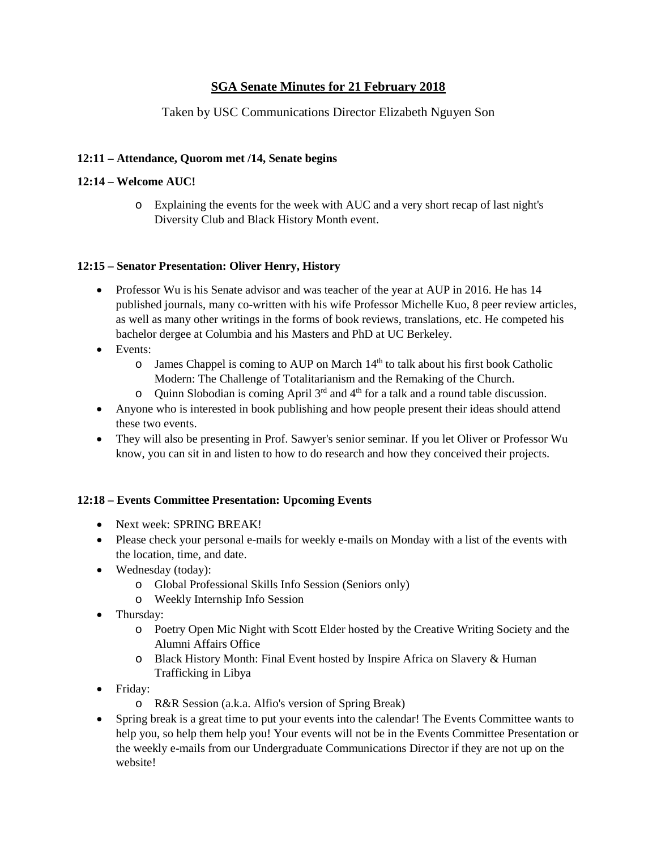# **SGA Senate Minutes for 21 February 2018**

# Taken by USC Communications Director Elizabeth Nguyen Son

### **12:11 – Attendance, Quorom met /14, Senate begins**

#### **12:14 – Welcome AUC!**

o Explaining the events for the week with AUC and a very short recap of last night's Diversity Club and Black History Month event.

#### **12:15 – Senator Presentation: Oliver Henry, History**

- Professor Wu is his Senate advisor and was teacher of the year at AUP in 2016. He has 14 published journals, many co-written with his wife Professor Michelle Kuo, 8 peer review articles, as well as many other writings in the forms of book reviews, translations, etc. He competed his bachelor dergee at Columbia and his Masters and PhD at UC Berkeley.
- Events:
	- o James Chappel is coming to AUP on March 14th to talk about his first book Catholic Modern: The Challenge of Totalitarianism and the Remaking of the Church.
	- $\circ$  Quinn Slobodian is coming April 3<sup>rd</sup> and 4<sup>th</sup> for a talk and a round table discussion.
- Anyone who is interested in book publishing and how people present their ideas should attend these two events.
- They will also be presenting in Prof. Sawyer's senior seminar. If you let Oliver or Professor Wu know, you can sit in and listen to how to do research and how they conceived their projects.

## **12:18 – Events Committee Presentation: Upcoming Events**

- Next week: SPRING BREAK!
- Please check your personal e-mails for weekly e-mails on Monday with a list of the events with the location, time, and date.
- Wednesday (today):
	- o Global Professional Skills Info Session (Seniors only)
	- o Weekly Internship Info Session
- Thursday:
	- o Poetry Open Mic Night with Scott Elder hosted by the Creative Writing Society and the Alumni Affairs Office
	- o Black History Month: Final Event hosted by Inspire Africa on Slavery & Human Trafficking in Libya
- Friday:
	- o R&R Session (a.k.a. Alfio's version of Spring Break)
- Spring break is a great time to put your events into the calendar! The Events Committee wants to help you, so help them help you! Your events will not be in the Events Committee Presentation or the weekly e-mails from our Undergraduate Communications Director if they are not up on the website!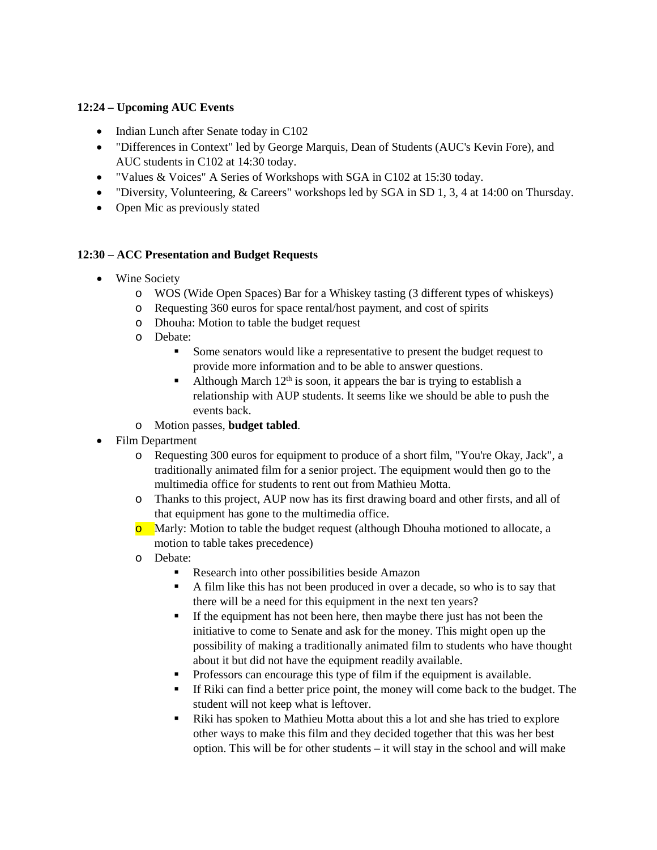## **12:24 – Upcoming AUC Events**

- Indian Lunch after Senate today in C102
- "Differences in Context" led by George Marquis, Dean of Students (AUC's Kevin Fore), and AUC students in C102 at 14:30 today.
- "Values & Voices" A Series of Workshops with SGA in C102 at 15:30 today.
- "Diversity, Volunteering, & Careers" workshops led by SGA in SD 1, 3, 4 at 14:00 on Thursday.
- Open Mic as previously stated

# **12:30 – ACC Presentation and Budget Requests**

- Wine Society
	- o WOS (Wide Open Spaces) Bar for a Whiskey tasting (3 different types of whiskeys)
	- o Requesting 360 euros for space rental/host payment, and cost of spirits
	- o Dhouha: Motion to table the budget request
	- o Debate:
		- Some senators would like a representative to present the budget request to provide more information and to be able to answer questions.
		- Although March  $12<sup>th</sup>$  is soon, it appears the bar is trying to establish a relationship with AUP students. It seems like we should be able to push the events back.
	- o Motion passes, **budget tabled**.
- Film Department
	- o Requesting 300 euros for equipment to produce of a short film, "You're Okay, Jack", a traditionally animated film for a senior project. The equipment would then go to the multimedia office for students to rent out from Mathieu Motta.
	- o Thanks to this project, AUP now has its first drawing board and other firsts, and all of that equipment has gone to the multimedia office.
	- o Marly: Motion to table the budget request (although Dhouha motioned to allocate, a motion to table takes precedence)
	- o Debate:
		- Research into other possibilities beside Amazon
		- A film like this has not been produced in over a decade, so who is to say that there will be a need for this equipment in the next ten years?
		- If the equipment has not been here, then maybe there just has not been the initiative to come to Senate and ask for the money. This might open up the possibility of making a traditionally animated film to students who have thought about it but did not have the equipment readily available.
		- Professors can encourage this type of film if the equipment is available.
		- If Riki can find a better price point, the money will come back to the budget. The student will not keep what is leftover.
		- Riki has spoken to Mathieu Motta about this a lot and she has tried to explore other ways to make this film and they decided together that this was her best option. This will be for other students – it will stay in the school and will make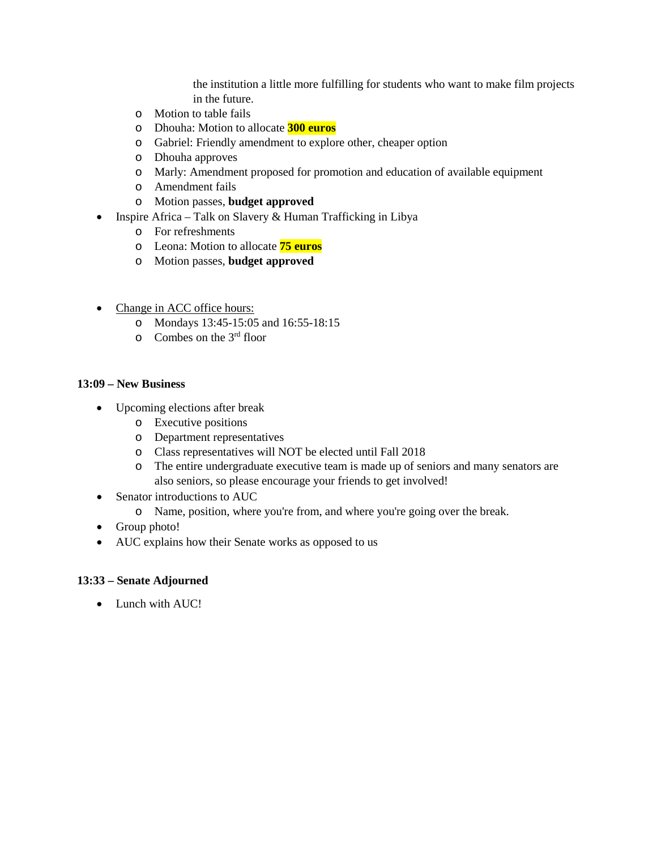the institution a little more fulfilling for students who want to make film projects in the future.

- o Motion to table fails
- o Dhouha: Motion to allocate **300 euros**
- o Gabriel: Friendly amendment to explore other, cheaper option
- o Dhouha approves
- o Marly: Amendment proposed for promotion and education of available equipment
- o Amendment fails
- o Motion passes, **budget approved**
- Inspire Africa Talk on Slavery & Human Trafficking in Libya
	- o For refreshments
	- o Leona: Motion to allocate **75 euros**
	- o Motion passes, **budget approved**
- Change in ACC office hours:
	- o Mondays 13:45-15:05 and 16:55-18:15
	- o Combes on the 3rd floor

#### **13:09 – New Business**

- Upcoming elections after break
	- o Executive positions
	- o Department representatives
	- o Class representatives will NOT be elected until Fall 2018
	- o The entire undergraduate executive team is made up of seniors and many senators are also seniors, so please encourage your friends to get involved!
- Senator introductions to AUC
	- o Name, position, where you're from, and where you're going over the break.
- Group photo!
- AUC explains how their Senate works as opposed to us

#### **13:33 – Senate Adjourned**

• Lunch with AUC!